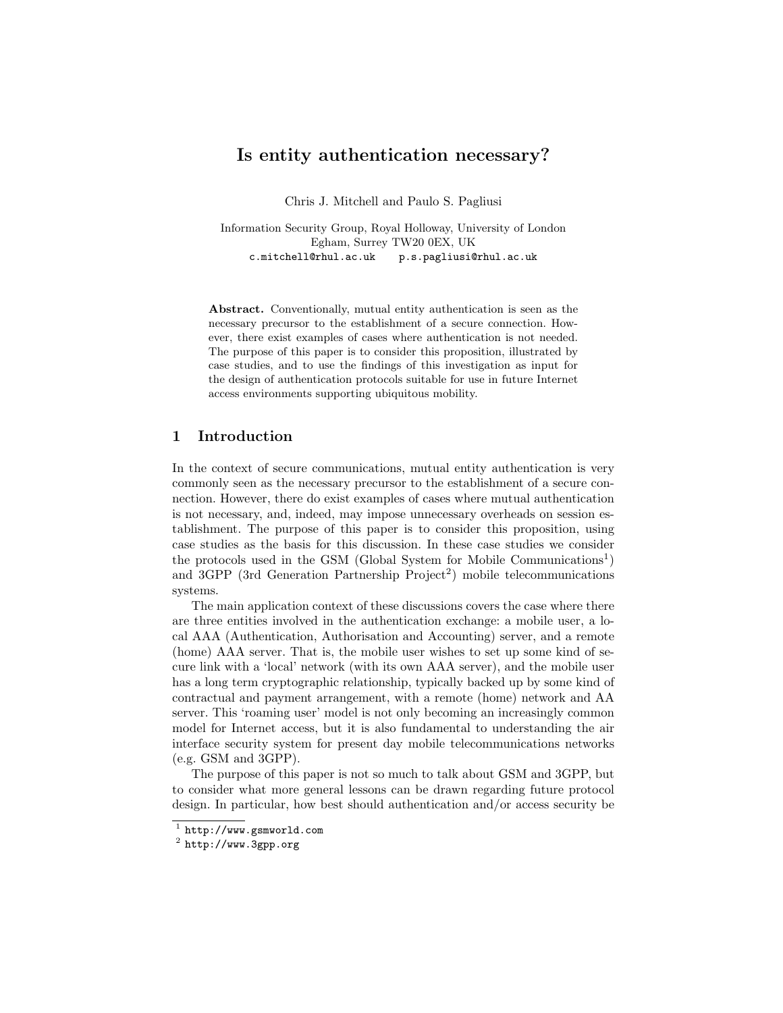# Is entity authentication necessary?

Chris J. Mitchell and Paulo S. Pagliusi

Information Security Group, Royal Holloway, University of London Egham, Surrey TW20 0EX, UK c.mitchell@rhul.ac.uk p.s.pagliusi@rhul.ac.uk

Abstract. Conventionally, mutual entity authentication is seen as the necessary precursor to the establishment of a secure connection. However, there exist examples of cases where authentication is not needed. The purpose of this paper is to consider this proposition, illustrated by case studies, and to use the findings of this investigation as input for the design of authentication protocols suitable for use in future Internet access environments supporting ubiquitous mobility.

# 1 Introduction

In the context of secure communications, mutual entity authentication is very commonly seen as the necessary precursor to the establishment of a secure connection. However, there do exist examples of cases where mutual authentication is not necessary, and, indeed, may impose unnecessary overheads on session establishment. The purpose of this paper is to consider this proposition, using case studies as the basis for this discussion. In these case studies we consider the protocols used in the GSM (Global System for Mobile Communications<sup>1</sup>) and  $3GPP$  (3rd Generation Partnership Project<sup>2</sup>) mobile telecommunications systems.

The main application context of these discussions covers the case where there are three entities involved in the authentication exchange: a mobile user, a local AAA (Authentication, Authorisation and Accounting) server, and a remote (home) AAA server. That is, the mobile user wishes to set up some kind of secure link with a 'local' network (with its own AAA server), and the mobile user has a long term cryptographic relationship, typically backed up by some kind of contractual and payment arrangement, with a remote (home) network and AA server. This 'roaming user' model is not only becoming an increasingly common model for Internet access, but it is also fundamental to understanding the air interface security system for present day mobile telecommunications networks (e.g. GSM and 3GPP).

The purpose of this paper is not so much to talk about GSM and 3GPP, but to consider what more general lessons can be drawn regarding future protocol design. In particular, how best should authentication and/or access security be

 $1$  http://www.gsmworld.com

 $2$  http://www.3gpp.org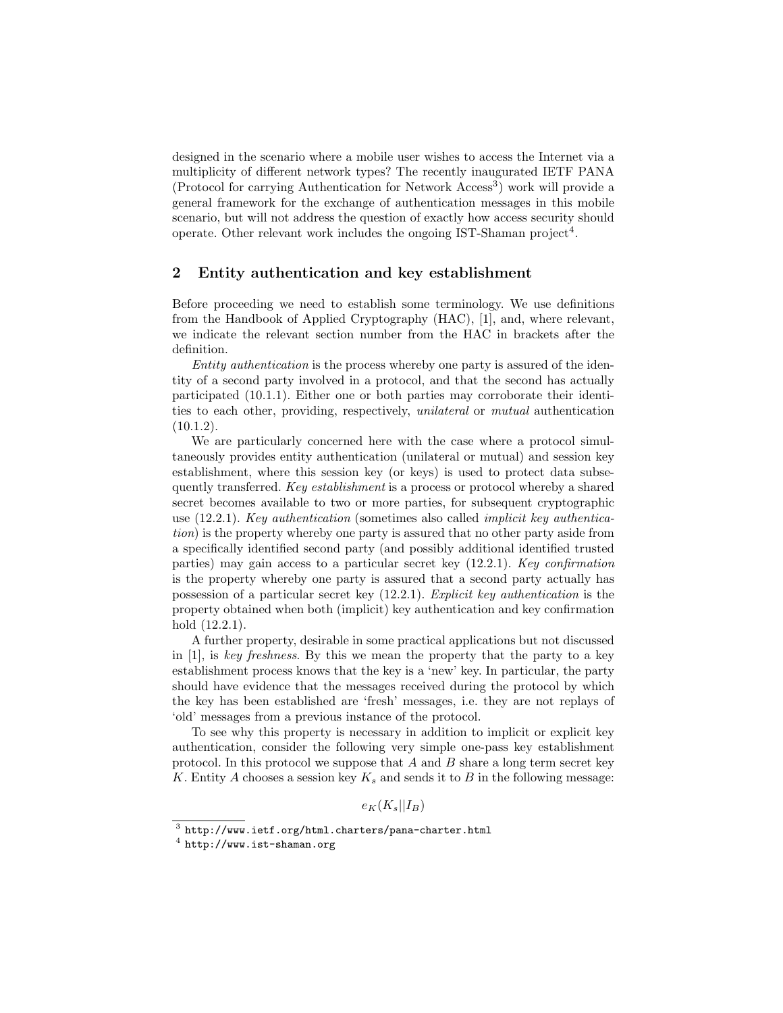designed in the scenario where a mobile user wishes to access the Internet via a multiplicity of different network types? The recently inaugurated IETF PANA (Protocol for carrying Authentication for Network Access<sup>3</sup>) work will provide a general framework for the exchange of authentication messages in this mobile scenario, but will not address the question of exactly how access security should operate. Other relevant work includes the ongoing IST-Shaman project<sup>4</sup>.

### 2 Entity authentication and key establishment

Before proceeding we need to establish some terminology. We use definitions from the Handbook of Applied Cryptography (HAC), [1], and, where relevant, we indicate the relevant section number from the HAC in brackets after the definition.

Entity authentication is the process whereby one party is assured of the identity of a second party involved in a protocol, and that the second has actually participated (10.1.1). Either one or both parties may corroborate their identities to each other, providing, respectively, unilateral or mutual authentication  $(10.1.2).$ 

We are particularly concerned here with the case where a protocol simultaneously provides entity authentication (unilateral or mutual) and session key establishment, where this session key (or keys) is used to protect data subsequently transferred. Key establishment is a process or protocol whereby a shared secret becomes available to two or more parties, for subsequent cryptographic use (12.2.1). Key authentication (sometimes also called implicit key authentication) is the property whereby one party is assured that no other party aside from a specifically identified second party (and possibly additional identified trusted parties) may gain access to a particular secret key  $(12.2.1)$ . Key confirmation is the property whereby one party is assured that a second party actually has possession of a particular secret key (12.2.1). Explicit key authentication is the property obtained when both (implicit) key authentication and key confirmation hold (12.2.1).

A further property, desirable in some practical applications but not discussed in  $[1]$ , is key freshness. By this we mean the property that the party to a key establishment process knows that the key is a 'new' key. In particular, the party should have evidence that the messages received during the protocol by which the key has been established are 'fresh' messages, i.e. they are not replays of 'old' messages from a previous instance of the protocol.

To see why this property is necessary in addition to implicit or explicit key authentication, consider the following very simple one-pass key establishment protocol. In this protocol we suppose that  $A$  and  $B$  share a long term secret key K. Entity A chooses a session key  $K_s$  and sends it to B in the following message:

 $e_K(K_s||I_B)$ 

 $^3$  http://www.ietf.org/html.charters/pana-charter.html

<sup>4</sup> http://www.ist-shaman.org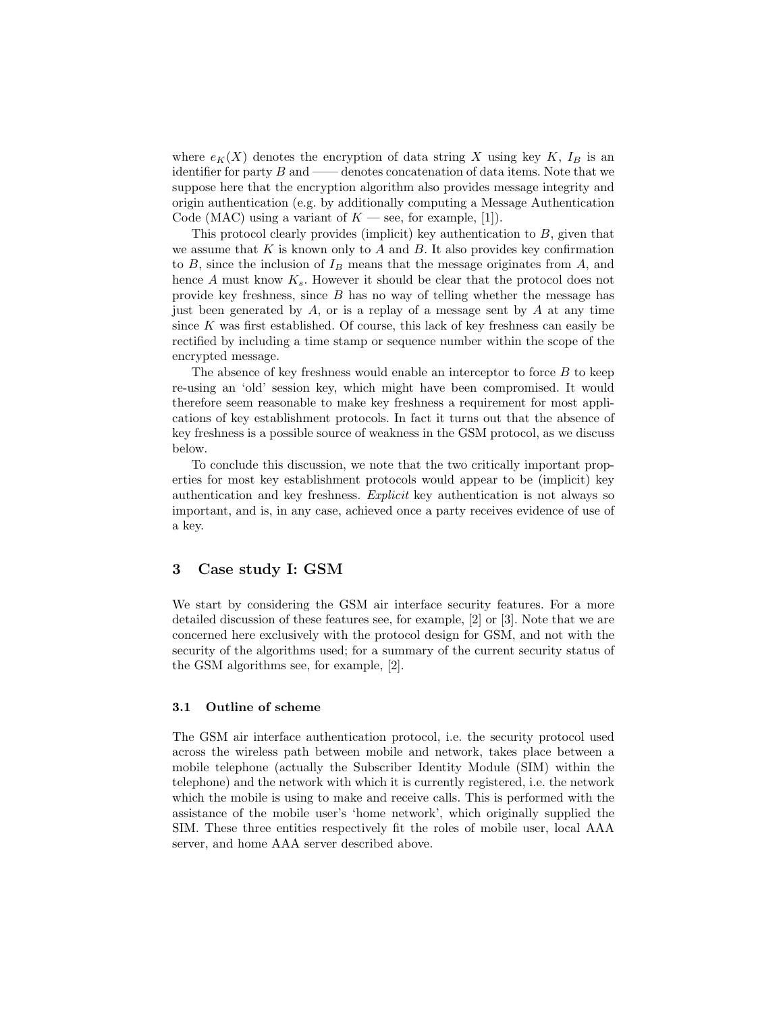where  $e_K(X)$  denotes the encryption of data string X using key K,  $I_B$  is an identifier for party  $B$  and —— denotes concatenation of data items. Note that we suppose here that the encryption algorithm also provides message integrity and origin authentication (e.g. by additionally computing a Message Authentication Code (MAC) using a variant of  $K$  — see, for example, [1]).

This protocol clearly provides (implicit) key authentication to  $B$ , given that we assume that K is known only to A and B. It also provides key confirmation to B, since the inclusion of  $I_B$  means that the message originates from A, and hence A must know  $K_s$ . However it should be clear that the protocol does not provide key freshness, since  $B$  has no way of telling whether the message has just been generated by  $A$ , or is a replay of a message sent by  $A$  at any time since K was first established. Of course, this lack of key freshness can easily be rectified by including a time stamp or sequence number within the scope of the encrypted message.

The absence of key freshness would enable an interceptor to force  $B$  to keep re-using an 'old' session key, which might have been compromised. It would therefore seem reasonable to make key freshness a requirement for most applications of key establishment protocols. In fact it turns out that the absence of key freshness is a possible source of weakness in the GSM protocol, as we discuss below.

To conclude this discussion, we note that the two critically important properties for most key establishment protocols would appear to be (implicit) key authentication and key freshness. Explicit key authentication is not always so important, and is, in any case, achieved once a party receives evidence of use of a key.

# 3 Case study I: GSM

We start by considering the GSM air interface security features. For a more detailed discussion of these features see, for example, [2] or [3]. Note that we are concerned here exclusively with the protocol design for GSM, and not with the security of the algorithms used; for a summary of the current security status of the GSM algorithms see, for example, [2].

#### 3.1 Outline of scheme

The GSM air interface authentication protocol, i.e. the security protocol used across the wireless path between mobile and network, takes place between a mobile telephone (actually the Subscriber Identity Module (SIM) within the telephone) and the network with which it is currently registered, i.e. the network which the mobile is using to make and receive calls. This is performed with the assistance of the mobile user's 'home network', which originally supplied the SIM. These three entities respectively fit the roles of mobile user, local AAA server, and home AAA server described above.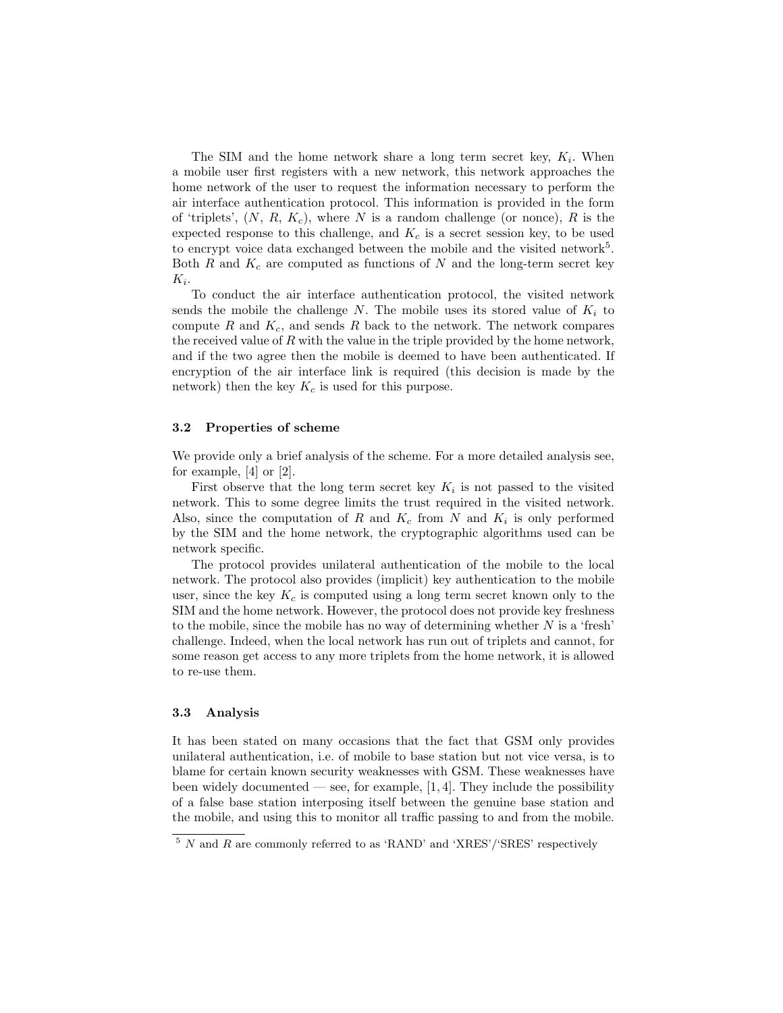The SIM and the home network share a long term secret key,  $K_i$ . When a mobile user first registers with a new network, this network approaches the home network of the user to request the information necessary to perform the air interface authentication protocol. This information is provided in the form of 'triplets',  $(N, R, K_c)$ , where N is a random challenge (or nonce), R is the expected response to this challenge, and  $K_c$  is a secret session key, to be used to encrypt voice data exchanged between the mobile and the visited network<sup>5</sup>. Both  $R$  and  $K_c$  are computed as functions of  $N$  and the long-term secret key  $K_i$ .

To conduct the air interface authentication protocol, the visited network sends the mobile the challenge  $N$ . The mobile uses its stored value of  $K_i$  to compute  $R$  and  $K_c$ , and sends  $R$  back to the network. The network compares the received value of  $R$  with the value in the triple provided by the home network, and if the two agree then the mobile is deemed to have been authenticated. If encryption of the air interface link is required (this decision is made by the network) then the key  $K_c$  is used for this purpose.

#### 3.2 Properties of scheme

We provide only a brief analysis of the scheme. For a more detailed analysis see, for example, [4] or [2].

First observe that the long term secret key  $K_i$  is not passed to the visited network. This to some degree limits the trust required in the visited network. Also, since the computation of R and  $K_c$  from N and  $K_i$  is only performed by the SIM and the home network, the cryptographic algorithms used can be network specific.

The protocol provides unilateral authentication of the mobile to the local network. The protocol also provides (implicit) key authentication to the mobile user, since the key  $K_c$  is computed using a long term secret known only to the SIM and the home network. However, the protocol does not provide key freshness to the mobile, since the mobile has no way of determining whether  $N$  is a 'fresh' challenge. Indeed, when the local network has run out of triplets and cannot, for some reason get access to any more triplets from the home network, it is allowed to re-use them.

#### 3.3 Analysis

It has been stated on many occasions that the fact that GSM only provides unilateral authentication, i.e. of mobile to base station but not vice versa, is to blame for certain known security weaknesses with GSM. These weaknesses have been widely documented — see, for example,  $[1, 4]$ . They include the possibility of a false base station interposing itself between the genuine base station and the mobile, and using this to monitor all traffic passing to and from the mobile.

 $5$  N and R are commonly referred to as 'RAND' and 'XRES'/'SRES' respectively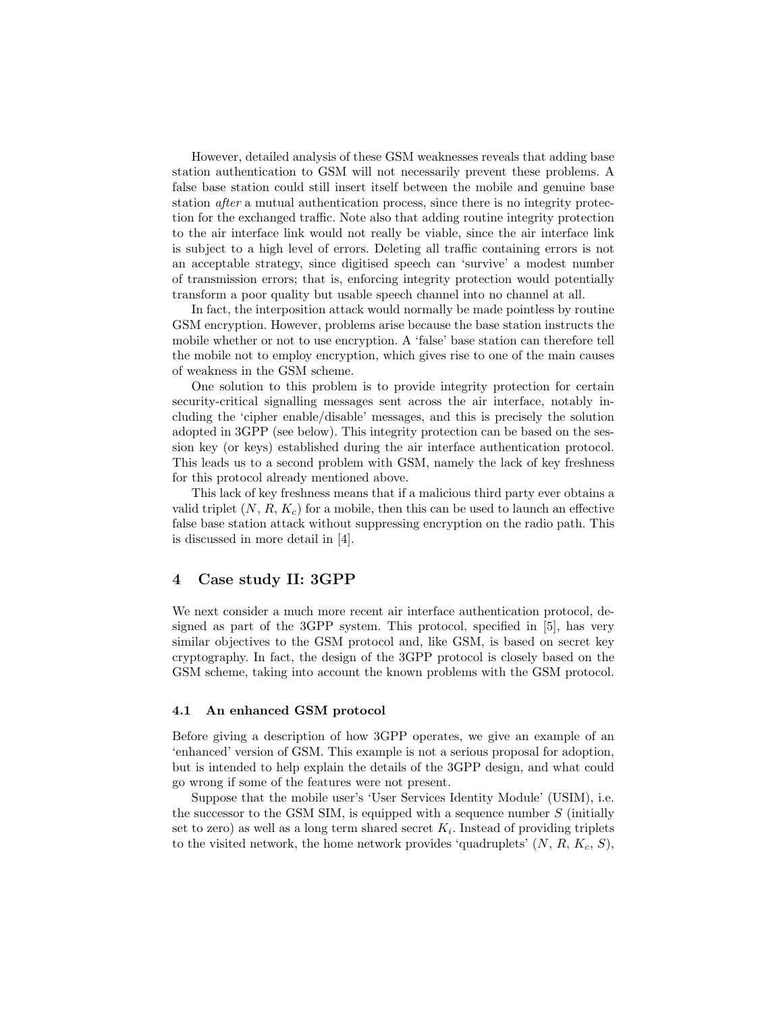However, detailed analysis of these GSM weaknesses reveals that adding base station authentication to GSM will not necessarily prevent these problems. A false base station could still insert itself between the mobile and genuine base station after a mutual authentication process, since there is no integrity protection for the exchanged traffic. Note also that adding routine integrity protection to the air interface link would not really be viable, since the air interface link is subject to a high level of errors. Deleting all traffic containing errors is not an acceptable strategy, since digitised speech can 'survive' a modest number of transmission errors; that is, enforcing integrity protection would potentially transform a poor quality but usable speech channel into no channel at all.

In fact, the interposition attack would normally be made pointless by routine GSM encryption. However, problems arise because the base station instructs the mobile whether or not to use encryption. A 'false' base station can therefore tell the mobile not to employ encryption, which gives rise to one of the main causes of weakness in the GSM scheme.

One solution to this problem is to provide integrity protection for certain security-critical signalling messages sent across the air interface, notably including the 'cipher enable/disable' messages, and this is precisely the solution adopted in 3GPP (see below). This integrity protection can be based on the session key (or keys) established during the air interface authentication protocol. This leads us to a second problem with GSM, namely the lack of key freshness for this protocol already mentioned above.

This lack of key freshness means that if a malicious third party ever obtains a valid triplet  $(N, R, K_c)$  for a mobile, then this can be used to launch an effective false base station attack without suppressing encryption on the radio path. This is discussed in more detail in [4].

### 4 Case study II: 3GPP

We next consider a much more recent air interface authentication protocol, designed as part of the 3GPP system. This protocol, specified in [5], has very similar objectives to the GSM protocol and, like GSM, is based on secret key cryptography. In fact, the design of the 3GPP protocol is closely based on the GSM scheme, taking into account the known problems with the GSM protocol.

#### 4.1 An enhanced GSM protocol

Before giving a description of how 3GPP operates, we give an example of an 'enhanced' version of GSM. This example is not a serious proposal for adoption, but is intended to help explain the details of the 3GPP design, and what could go wrong if some of the features were not present.

Suppose that the mobile user's 'User Services Identity Module' (USIM), i.e. the successor to the GSM SIM, is equipped with a sequence number  $S$  (initially set to zero) as well as a long term shared secret  $K_i$ . Instead of providing triplets to the visited network, the home network provides 'quadruplets'  $(N, R, K_c, S)$ ,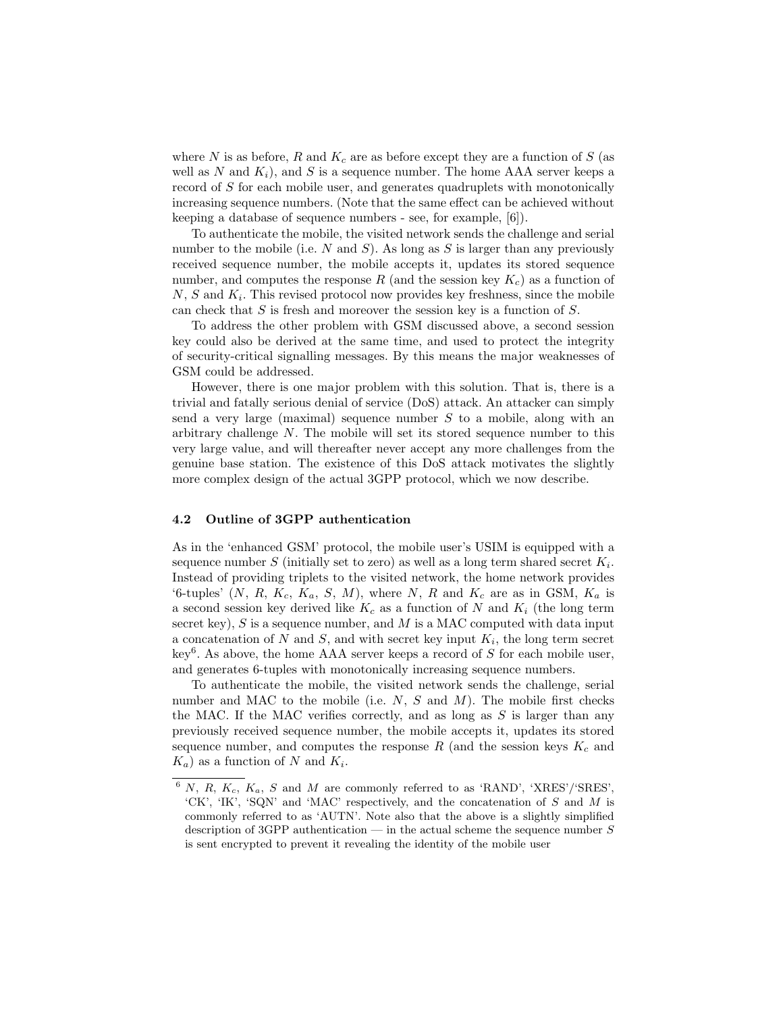where N is as before, R and  $K_c$  are as before except they are a function of S (as well as N and  $K_i$ ), and S is a sequence number. The home AAA server keeps a record of S for each mobile user, and generates quadruplets with monotonically increasing sequence numbers. (Note that the same effect can be achieved without keeping a database of sequence numbers - see, for example, [6]).

To authenticate the mobile, the visited network sends the challenge and serial number to the mobile (i.e. N and S). As long as S is larger than any previously received sequence number, the mobile accepts it, updates its stored sequence number, and computes the response R (and the session key  $K_c$ ) as a function of  $N, S$  and  $K_i$ . This revised protocol now provides key freshness, since the mobile can check that  $S$  is fresh and moreover the session key is a function of  $S$ .

To address the other problem with GSM discussed above, a second session key could also be derived at the same time, and used to protect the integrity of security-critical signalling messages. By this means the major weaknesses of GSM could be addressed.

However, there is one major problem with this solution. That is, there is a trivial and fatally serious denial of service (DoS) attack. An attacker can simply send a very large (maximal) sequence number  $S$  to a mobile, along with an arbitrary challenge N. The mobile will set its stored sequence number to this very large value, and will thereafter never accept any more challenges from the genuine base station. The existence of this DoS attack motivates the slightly more complex design of the actual 3GPP protocol, which we now describe.

#### 4.2 Outline of 3GPP authentication

As in the 'enhanced GSM' protocol, the mobile user's USIM is equipped with a sequence number  $S$  (initially set to zero) as well as a long term shared secret  $K_i$ . Instead of providing triplets to the visited network, the home network provides '6-tuples'  $(N, R, K_c, K_a, S, M)$ , where N, R and  $K_c$  are as in GSM,  $K_a$  is a second session key derived like  $K_c$  as a function of N and  $K_i$  (the long term secret key),  $S$  is a sequence number, and  $M$  is a MAC computed with data input a concatenation of  $N$  and  $S$ , and with secret key input  $K_i$ , the long term secret  $key<sup>6</sup>$ . As above, the home AAA server keeps a record of S for each mobile user, and generates 6-tuples with monotonically increasing sequence numbers.

To authenticate the mobile, the visited network sends the challenge, serial number and MAC to the mobile (i.e.  $N$ ,  $S$  and  $M$ ). The mobile first checks the MAC. If the MAC verifies correctly, and as long as  $S$  is larger than any previously received sequence number, the mobile accepts it, updates its stored sequence number, and computes the response  $R$  (and the session keys  $K_c$  and  $K_a$ ) as a function of N and  $K_i$ .

 $6 N$ , R, K<sub>c</sub>, K<sub>a</sub>, S and M are commonly referred to as 'RAND', 'XRES'/'SRES', 'CK', 'IK', 'SQN' and 'MAC' respectively, and the concatenation of S and M is commonly referred to as 'AUTN'. Note also that the above is a slightly simplified description of 3GPP authentication — in the actual scheme the sequence number  $S$ is sent encrypted to prevent it revealing the identity of the mobile user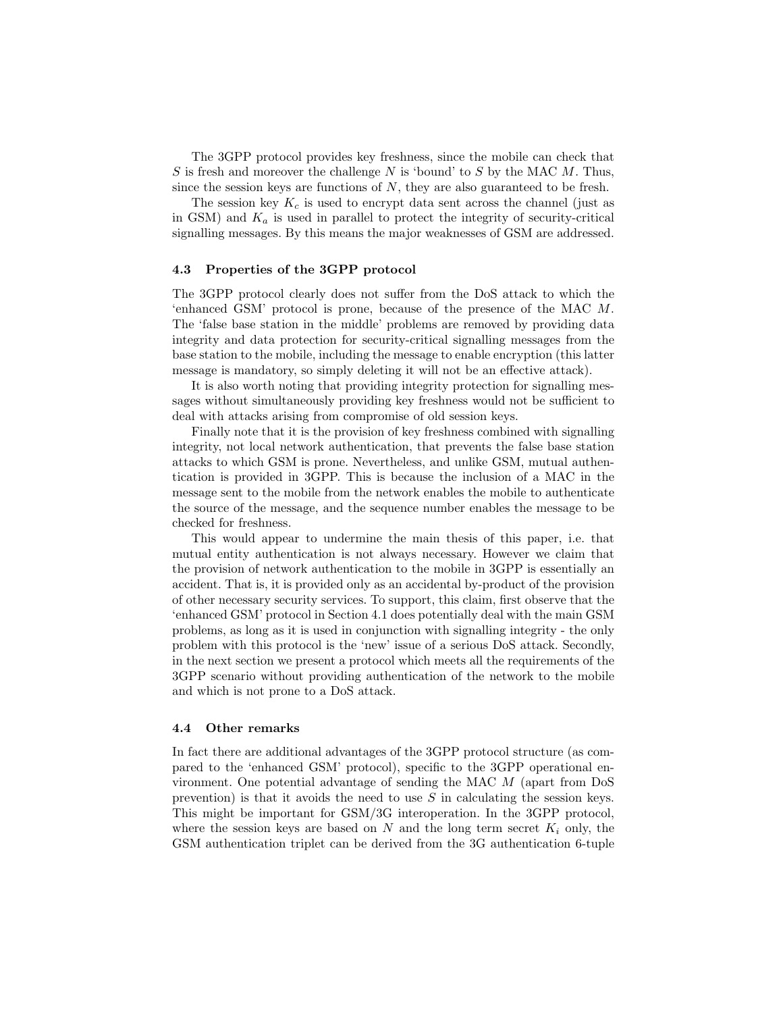The 3GPP protocol provides key freshness, since the mobile can check that S is fresh and moreover the challenge N is 'bound' to S by the MAC  $M$ . Thus, since the session keys are functions of  $N$ , they are also guaranteed to be fresh.

The session key  $K_c$  is used to encrypt data sent across the channel (just as in GSM) and  $K_a$  is used in parallel to protect the integrity of security-critical signalling messages. By this means the major weaknesses of GSM are addressed.

#### 4.3 Properties of the 3GPP protocol

The 3GPP protocol clearly does not suffer from the DoS attack to which the 'enhanced GSM' protocol is prone, because of the presence of the MAC M. The 'false base station in the middle' problems are removed by providing data integrity and data protection for security-critical signalling messages from the base station to the mobile, including the message to enable encryption (this latter message is mandatory, so simply deleting it will not be an effective attack).

It is also worth noting that providing integrity protection for signalling messages without simultaneously providing key freshness would not be sufficient to deal with attacks arising from compromise of old session keys.

Finally note that it is the provision of key freshness combined with signalling integrity, not local network authentication, that prevents the false base station attacks to which GSM is prone. Nevertheless, and unlike GSM, mutual authentication is provided in 3GPP. This is because the inclusion of a MAC in the message sent to the mobile from the network enables the mobile to authenticate the source of the message, and the sequence number enables the message to be checked for freshness.

This would appear to undermine the main thesis of this paper, i.e. that mutual entity authentication is not always necessary. However we claim that the provision of network authentication to the mobile in 3GPP is essentially an accident. That is, it is provided only as an accidental by-product of the provision of other necessary security services. To support, this claim, first observe that the 'enhanced GSM' protocol in Section 4.1 does potentially deal with the main GSM problems, as long as it is used in conjunction with signalling integrity - the only problem with this protocol is the 'new' issue of a serious DoS attack. Secondly, in the next section we present a protocol which meets all the requirements of the 3GPP scenario without providing authentication of the network to the mobile and which is not prone to a DoS attack.

#### 4.4 Other remarks

In fact there are additional advantages of the 3GPP protocol structure (as compared to the 'enhanced GSM' protocol), specific to the 3GPP operational environment. One potential advantage of sending the MAC M (apart from DoS prevention) is that it avoids the need to use  $S$  in calculating the session keys. This might be important for GSM/3G interoperation. In the 3GPP protocol, where the session keys are based on  $N$  and the long term secret  $K_i$  only, the GSM authentication triplet can be derived from the 3G authentication 6-tuple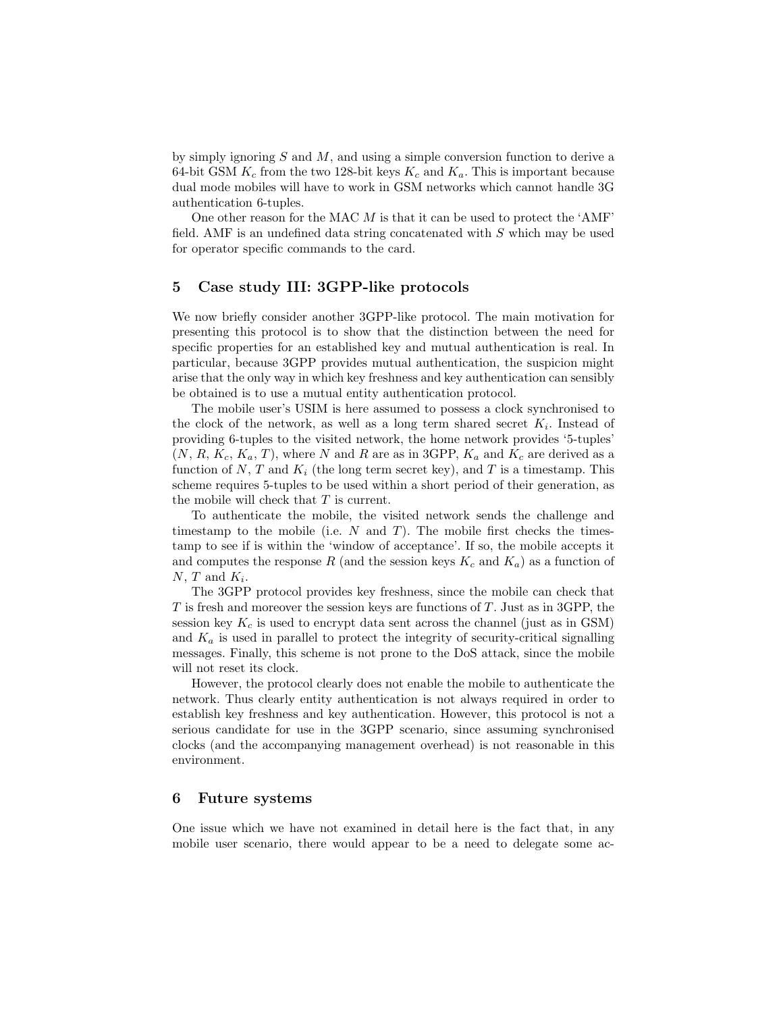by simply ignoring  $S$  and  $M$ , and using a simple conversion function to derive a 64-bit GSM  $K_c$  from the two 128-bit keys  $K_c$  and  $K_a$ . This is important because dual mode mobiles will have to work in GSM networks which cannot handle 3G authentication 6-tuples.

One other reason for the MAC M is that it can be used to protect the 'AMF' field. AMF is an undefined data string concatenated with  $S$  which may be used for operator specific commands to the card.

### 5 Case study III: 3GPP-like protocols

We now briefly consider another 3GPP-like protocol. The main motivation for presenting this protocol is to show that the distinction between the need for specific properties for an established key and mutual authentication is real. In particular, because 3GPP provides mutual authentication, the suspicion might arise that the only way in which key freshness and key authentication can sensibly be obtained is to use a mutual entity authentication protocol.

The mobile user's USIM is here assumed to possess a clock synchronised to the clock of the network, as well as a long term shared secret  $K_i$ . Instead of providing 6-tuples to the visited network, the home network provides '5-tuples'  $(N, R, K_c, K_a, T)$ , where N and R are as in 3GPP,  $K_a$  and  $K_c$  are derived as a function of N, T and  $K_i$  (the long term secret key), and T is a timestamp. This scheme requires 5-tuples to be used within a short period of their generation, as the mobile will check that  $T$  is current.

To authenticate the mobile, the visited network sends the challenge and timestamp to the mobile (i.e.  $N$  and  $T$ ). The mobile first checks the timestamp to see if is within the 'window of acceptance'. If so, the mobile accepts it and computes the response R (and the session keys  $K_c$  and  $K_a$ ) as a function of  $N, T$  and  $K_i$ .

The 3GPP protocol provides key freshness, since the mobile can check that T is fresh and moreover the session keys are functions of T. Just as in 3GPP, the session key  $K_c$  is used to encrypt data sent across the channel (just as in GSM) and  $K_a$  is used in parallel to protect the integrity of security-critical signalling messages. Finally, this scheme is not prone to the DoS attack, since the mobile will not reset its clock.

However, the protocol clearly does not enable the mobile to authenticate the network. Thus clearly entity authentication is not always required in order to establish key freshness and key authentication. However, this protocol is not a serious candidate for use in the 3GPP scenario, since assuming synchronised clocks (and the accompanying management overhead) is not reasonable in this environment.

### 6 Future systems

One issue which we have not examined in detail here is the fact that, in any mobile user scenario, there would appear to be a need to delegate some ac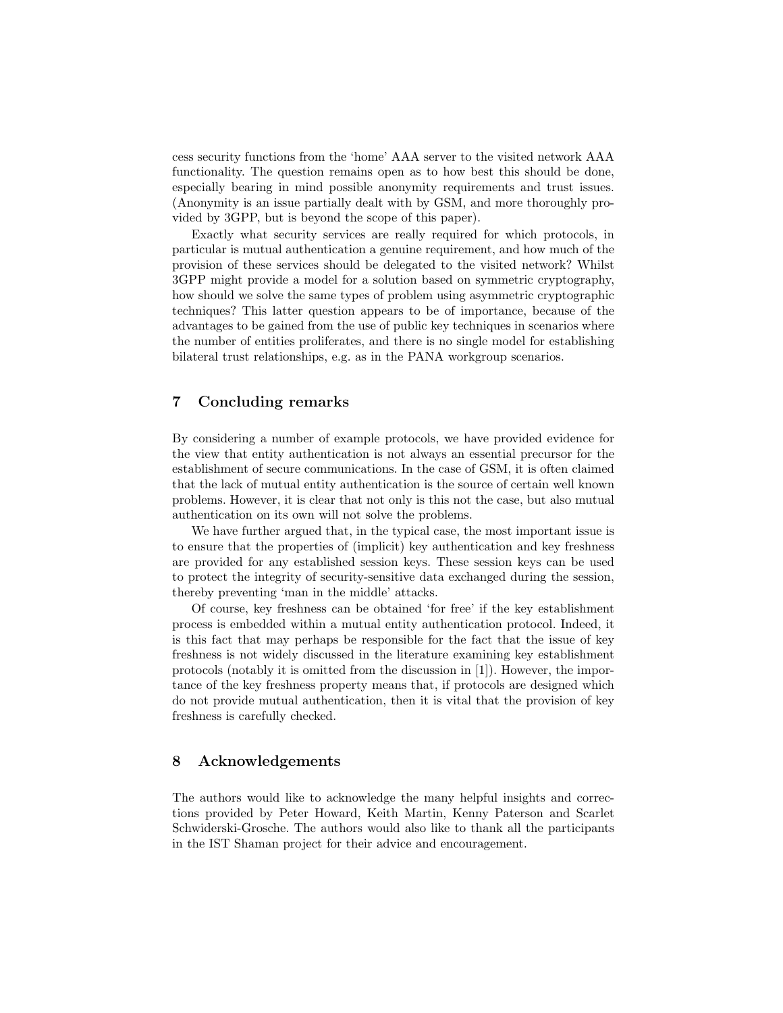cess security functions from the 'home' AAA server to the visited network AAA functionality. The question remains open as to how best this should be done, especially bearing in mind possible anonymity requirements and trust issues. (Anonymity is an issue partially dealt with by GSM, and more thoroughly provided by 3GPP, but is beyond the scope of this paper).

Exactly what security services are really required for which protocols, in particular is mutual authentication a genuine requirement, and how much of the provision of these services should be delegated to the visited network? Whilst 3GPP might provide a model for a solution based on symmetric cryptography, how should we solve the same types of problem using asymmetric cryptographic techniques? This latter question appears to be of importance, because of the advantages to be gained from the use of public key techniques in scenarios where the number of entities proliferates, and there is no single model for establishing bilateral trust relationships, e.g. as in the PANA workgroup scenarios.

# 7 Concluding remarks

By considering a number of example protocols, we have provided evidence for the view that entity authentication is not always an essential precursor for the establishment of secure communications. In the case of GSM, it is often claimed that the lack of mutual entity authentication is the source of certain well known problems. However, it is clear that not only is this not the case, but also mutual authentication on its own will not solve the problems.

We have further argued that, in the typical case, the most important issue is to ensure that the properties of (implicit) key authentication and key freshness are provided for any established session keys. These session keys can be used to protect the integrity of security-sensitive data exchanged during the session, thereby preventing 'man in the middle' attacks.

Of course, key freshness can be obtained 'for free' if the key establishment process is embedded within a mutual entity authentication protocol. Indeed, it is this fact that may perhaps be responsible for the fact that the issue of key freshness is not widely discussed in the literature examining key establishment protocols (notably it is omitted from the discussion in [1]). However, the importance of the key freshness property means that, if protocols are designed which do not provide mutual authentication, then it is vital that the provision of key freshness is carefully checked.

# 8 Acknowledgements

The authors would like to acknowledge the many helpful insights and corrections provided by Peter Howard, Keith Martin, Kenny Paterson and Scarlet Schwiderski-Grosche. The authors would also like to thank all the participants in the IST Shaman project for their advice and encouragement.